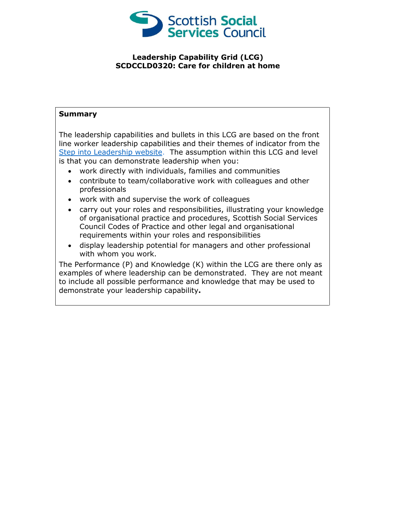

## **Leadership Capability Grid (LCG) SCDCCLD0320: Care for children at home**

## **Summary**

The leadership capabilities and bullets in this LCG are based on the front line worker leadership capabilities and their themes of indicator from the [Step into Leadership website.](http://www.stepintoleadership.info/) The assumption within this LCG and level is that you can demonstrate leadership when you:

- work directly with individuals, families and communities
- contribute to team/collaborative work with colleagues and other professionals
- work with and supervise the work of colleagues
- carry out your roles and responsibilities, illustrating your knowledge of organisational practice and procedures, Scottish Social Services Council Codes of Practice and other legal and organisational requirements within your roles and responsibilities
- display leadership potential for managers and other professional with whom you work.

The Performance (P) and Knowledge (K) within the LCG are there only as examples of where leadership can be demonstrated. They are not meant to include all possible performance and knowledge that may be used to demonstrate your leadership capability**.**